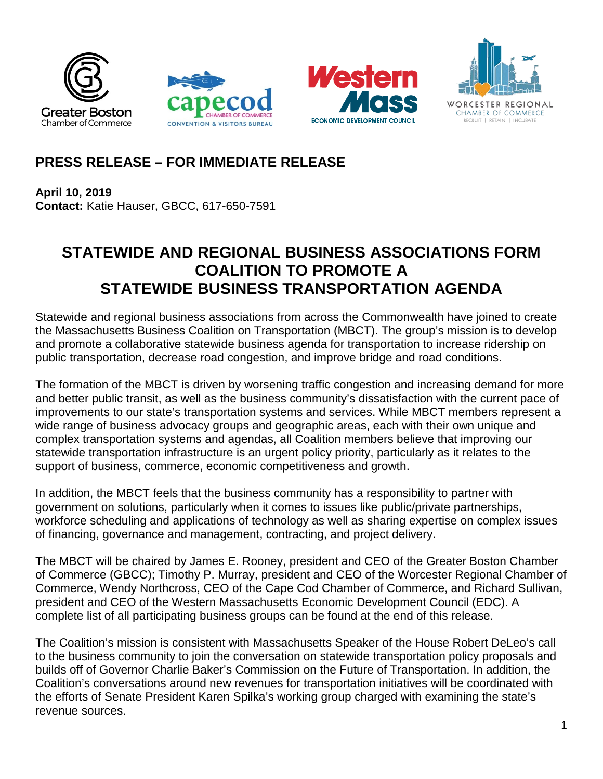







# **PRESS RELEASE – FOR IMMEDIATE RELEASE**

**April 10, 2019 Contact:** Katie Hauser, GBCC, 617-650-7591

# **STATEWIDE AND REGIONAL BUSINESS ASSOCIATIONS FORM COALITION TO PROMOTE A STATEWIDE BUSINESS TRANSPORTATION AGENDA**

Statewide and regional business associations from across the Commonwealth have joined to create the Massachusetts Business Coalition on Transportation (MBCT). The group's mission is to develop and promote a collaborative statewide business agenda for transportation to increase ridership on public transportation, decrease road congestion, and improve bridge and road conditions.

The formation of the MBCT is driven by worsening traffic congestion and increasing demand for more and better public transit, as well as the business community's dissatisfaction with the current pace of improvements to our state's transportation systems and services. While MBCT members represent a wide range of business advocacy groups and geographic areas, each with their own unique and complex transportation systems and agendas, all Coalition members believe that improving our statewide transportation infrastructure is an urgent policy priority, particularly as it relates to the support of business, commerce, economic competitiveness and growth.

In addition, the MBCT feels that the business community has a responsibility to partner with government on solutions, particularly when it comes to issues like public/private partnerships, workforce scheduling and applications of technology as well as sharing expertise on complex issues of financing, governance and management, contracting, and project delivery.

The MBCT will be chaired by James E. Rooney, president and CEO of the Greater Boston Chamber of Commerce (GBCC); Timothy P. Murray, president and CEO of the Worcester Regional Chamber of Commerce, Wendy Northcross, CEO of the Cape Cod Chamber of Commerce, and Richard Sullivan, president and CEO of the Western Massachusetts Economic Development Council (EDC). A complete list of all participating business groups can be found at the end of this release.

The Coalition's mission is consistent with Massachusetts Speaker of the House Robert DeLeo's call to the business community to join the conversation on statewide transportation policy proposals and builds off of Governor Charlie Baker's Commission on the Future of Transportation. In addition, the Coalition's conversations around new revenues for transportation initiatives will be coordinated with the efforts of Senate President Karen Spilka's working group charged with examining the state's revenue sources.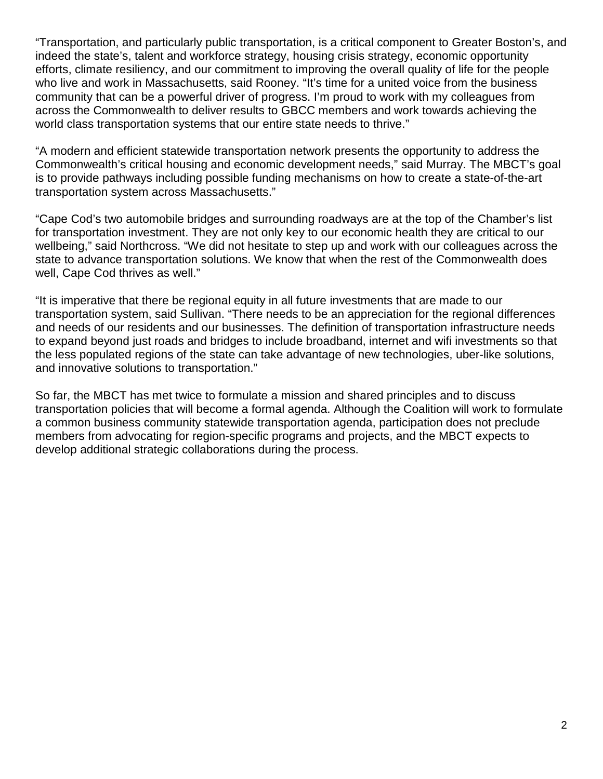"Transportation, and particularly public transportation, is a critical component to Greater Boston's, and indeed the state's, talent and workforce strategy, housing crisis strategy, economic opportunity efforts, climate resiliency, and our commitment to improving the overall quality of life for the people who live and work in Massachusetts, said Rooney. "It's time for a united voice from the business community that can be a powerful driver of progress. I'm proud to work with my colleagues from across the Commonwealth to deliver results to GBCC members and work towards achieving the world class transportation systems that our entire state needs to thrive."

"A modern and efficient statewide transportation network presents the opportunity to address the Commonwealth's critical housing and economic development needs," said Murray. The MBCT's goal is to provide pathways including possible funding mechanisms on how to create a state-of-the-art transportation system across Massachusetts."

"Cape Cod's two automobile bridges and surrounding roadways are at the top of the Chamber's list for transportation investment. They are not only key to our economic health they are critical to our wellbeing," said Northcross. "We did not hesitate to step up and work with our colleagues across the state to advance transportation solutions. We know that when the rest of the Commonwealth does well, Cape Cod thrives as well."

"It is imperative that there be regional equity in all future investments that are made to our transportation system, said Sullivan. "There needs to be an appreciation for the regional differences and needs of our residents and our businesses. The definition of transportation infrastructure needs to expand beyond just roads and bridges to include broadband, internet and wifi investments so that the less populated regions of the state can take advantage of new technologies, uber-like solutions, and innovative solutions to transportation."

So far, the MBCT has met twice to formulate a mission and shared principles and to discuss transportation policies that will become a formal agenda. Although the Coalition will work to formulate a common business community statewide transportation agenda, participation does not preclude members from advocating for region-specific programs and projects, and the MBCT expects to develop additional strategic collaborations during the process.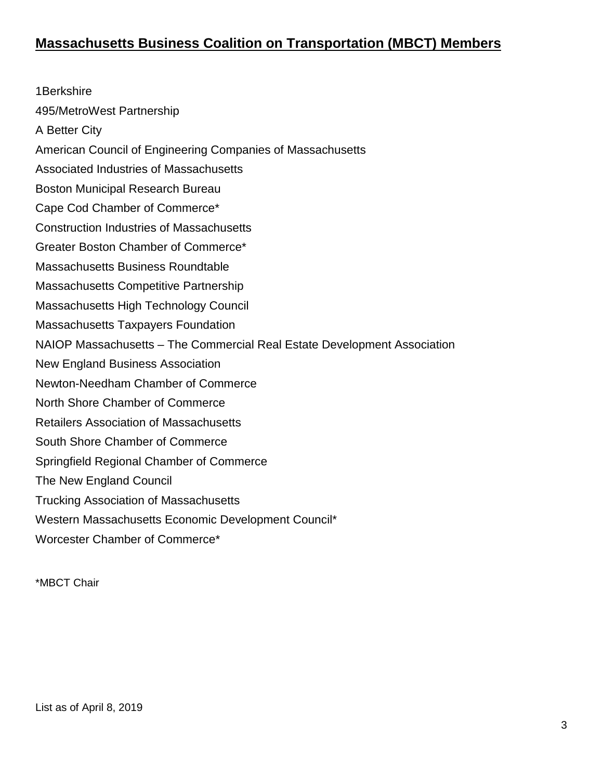1Berkshire 495/MetroWest Partnership A Better City American Council of Engineering Companies of Massachusetts Associated Industries of Massachusetts Boston Municipal Research Bureau Cape Cod Chamber of Commerce\* Construction Industries of Massachusetts Greater Boston Chamber of Commerce\* Massachusetts Business Roundtable Massachusetts Competitive Partnership Massachusetts High Technology Council Massachusetts Taxpayers Foundation NAIOP Massachusetts – The Commercial Real Estate Development Association New England Business Association Newton-Needham Chamber of Commerce North Shore Chamber of Commerce Retailers Association of Massachusetts South Shore Chamber of Commerce Springfield Regional Chamber of Commerce The New England Council Trucking Association of Massachusetts Western Massachusetts Economic Development Council\* Worcester Chamber of Commerce\*

\*MBCT Chair